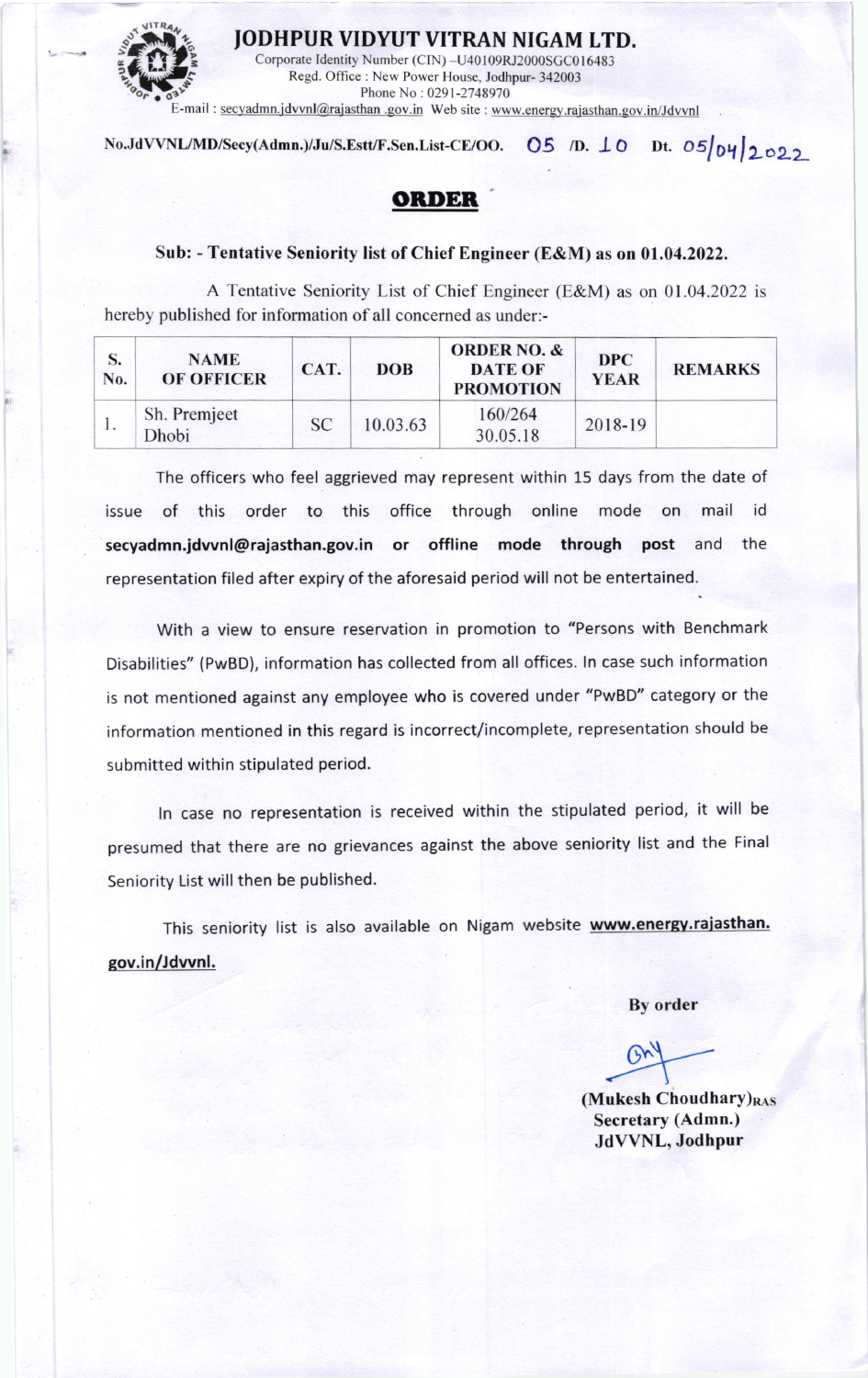

JODHPUR VIDYUT VITRAN NIGAM LTD.

Corporate Identity Number (CIN) -U40109RJ2000SGC016483 Regd. Office : New Power House, Jodhpur- 342003 Phone No: 0291-2748970 E-mail : secyadmn.jdvvnl@rajasthan .gov.in Web site : www.energy.rajasthan.gov.in/Jdvvnl

No.JdVVNL/MD/Secy(Admn.)/Ju/S.Estt/F.Sen.List-CE/OO.  $OS$  /D.  $LO$  Dt.  $OS/_{O}$ y $_{2}$ 022

## OBDER

## Sub: - Tentative Seniority list of Chief Engineer (E&M) as on 01.04.2022.

A Tentative Seniority List of Chief Engineer (E&M) as on 0l .04.2022 is hereby published for information of all concemed as under:-

| No. | <b>NAME</b><br><b>OF OFFICER</b> | CAT.      | <b>DOB</b> | <b>ORDER NO. &amp;</b><br><b>DATE OF</b><br><b>PROMOTION</b> | <b>DPC</b><br><b>YEAR</b> | <b>REMARKS</b> |
|-----|----------------------------------|-----------|------------|--------------------------------------------------------------|---------------------------|----------------|
|     | Sh. Premjeet<br>Dhobi            | <b>SC</b> | 10.03.63   | 160/264<br>30.05.18                                          | 2018-19                   |                |

The officers who feel aggrieved may represent within 15 days from the date of issue of this order to this office through online mode on mail id secyadmn.jdvvnl@rajasthan.gov.in or offline mode through post and the representation filed after expiry of the aforesaid period will not be entertained..

With a view to ensure reservation in promotion to "Persons with Benchmark Disabilities" (PwBD), information has collected from all offices. ln case such information is not mentioned against any employee who is covered under "PwBD" category or the information mentioned in this regard is incorrect/incomplete, representation should be submitted within stipulated period.

ln case no representation is received within the stipulated period, it will be presumed that there are no grievances against the above seniority list and the Final Seniority List will then be published.

This seniority list is also available on Nigam website www.energy.rajasthan. gov.in/Jdvvnl.

By order

(Mukesh Choudhary) $_{RAS}$ Secretary (Admn.) JdVVNL, Jodhpur